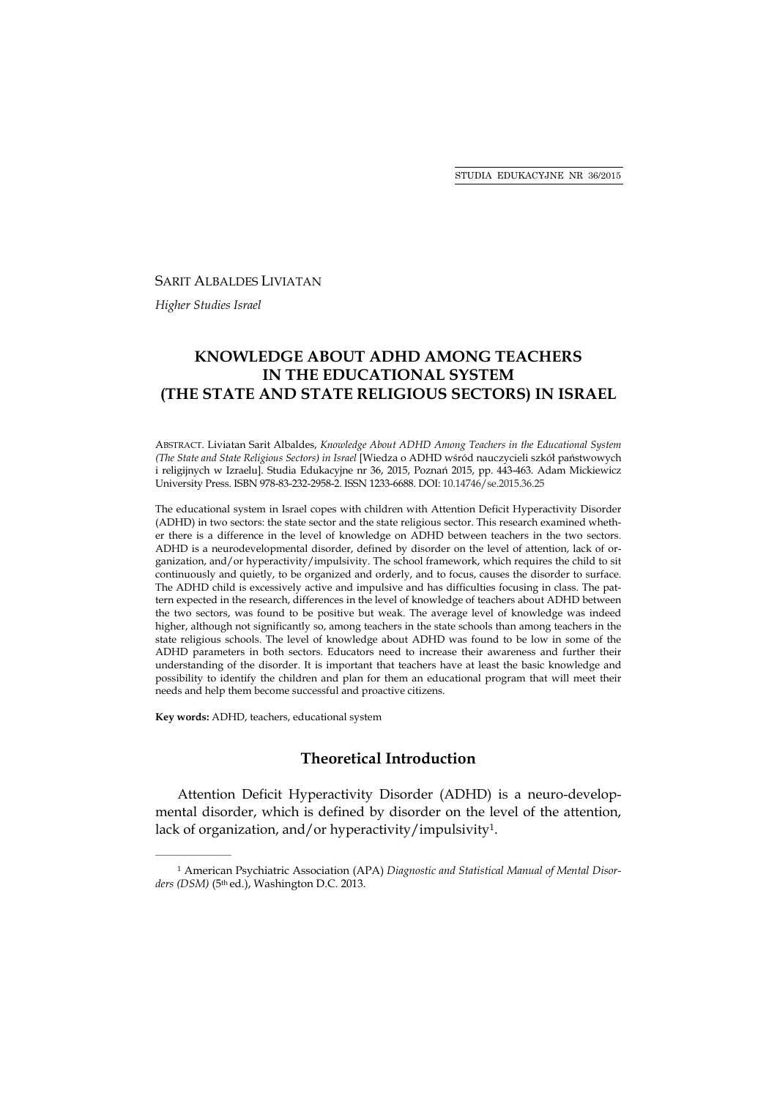#### SARIT ALBALDES LIVIATAN

*Higher Studies Israel* 

# **KNOWLEDGE ABOUT ADHD AMONG TEACHERS IN THE EDUCATIONAL SYSTEM (THE STATE AND STATE RELIGIOUS SECTORS) IN ISRAEL**

ABSTRACT. Liviatan Sarit Albaldes, *Knowledge About ADHD Among Teachers in the Educational System (The State and State Religious Sectors) in Israel* [Wiedza o ADHD wśród nauczycieli szkół państwowych i religijnych w Izraelu]. Studia Edukacyjne nr 36, 2015, Poznań 2015, pp. 443-463. Adam Mickiewicz University Press. ISBN 978-83-232-2958-2. ISSN 1233-6688. DOI: 10.14746/se.2015.36.25

The educational system in Israel copes with children with Attention Deficit Hyperactivity Disorder (ADHD) in two sectors: the state sector and the state religious sector. This research examined whether there is a difference in the level of knowledge on ADHD between teachers in the two sectors. ADHD is a neurodevelopmental disorder, defined by disorder on the level of attention, lack of organization, and/or hyperactivity/impulsivity. The school framework, which requires the child to sit continuously and quietly, to be organized and orderly, and to focus, causes the disorder to surface. The ADHD child is excessively active and impulsive and has difficulties focusing in class. The pattern expected in the research, differences in the level of knowledge of teachers about ADHD between the two sectors, was found to be positive but weak. The average level of knowledge was indeed higher, although not significantly so, among teachers in the state schools than among teachers in the state religious schools. The level of knowledge about ADHD was found to be low in some of the ADHD parameters in both sectors. Educators need to increase their awareness and further their understanding of the disorder. It is important that teachers have at least the basic knowledge and possibility to identify the children and plan for them an educational program that will meet their needs and help them become successful and proactive citizens.

**Key words:** ADHD, teachers, educational system

\_\_\_\_\_\_\_\_\_\_\_\_\_\_\_\_\_\_

# **Theoretical Introduction**

Attention Deficit Hyperactivity Disorder (ADHD) is a neuro-developmental disorder, which is defined by disorder on the level of the attention, lack of organization, and/or hyperactivity/impulsivity<sup>1</sup>.

<sup>1</sup> American Psychiatric Association (APA) *Diagnostic and Statistical Manual of Mental Disorders (DSM)* (5th ed.), Washington D.C. 2013.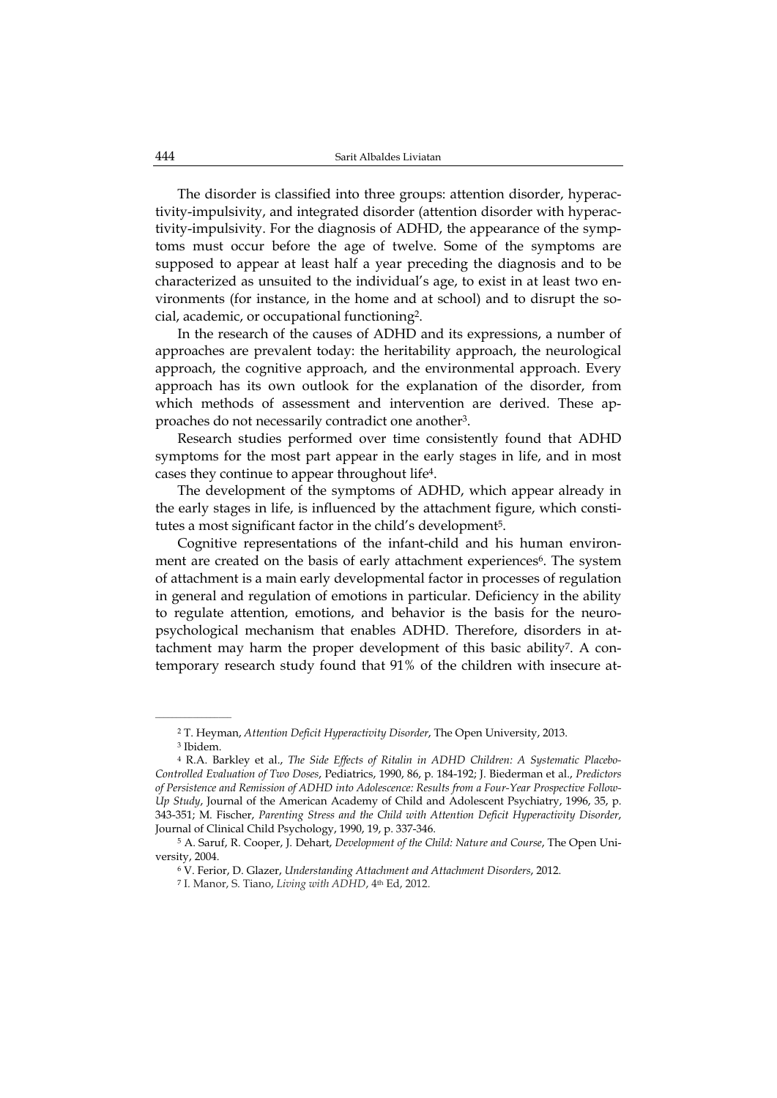The disorder is classified into three groups: attention disorder, hyperactivity-impulsivity, and integrated disorder (attention disorder with hyperactivity-impulsivity. For the diagnosis of ADHD, the appearance of the symptoms must occur before the age of twelve. Some of the symptoms are supposed to appear at least half a year preceding the diagnosis and to be characterized as unsuited to the individual's age, to exist in at least two environments (for instance, in the home and at school) and to disrupt the social, academic, or occupational functioning2.

In the research of the causes of ADHD and its expressions, a number of approaches are prevalent today: the heritability approach, the neurological approach, the cognitive approach, and the environmental approach. Every approach has its own outlook for the explanation of the disorder, from which methods of assessment and intervention are derived. These approaches do not necessarily contradict one another3.

Research studies performed over time consistently found that ADHD symptoms for the most part appear in the early stages in life, and in most cases they continue to appear throughout life4.

The development of the symptoms of ADHD, which appear already in the early stages in life, is influenced by the attachment figure, which constitutes a most significant factor in the child's development<sup>5</sup>.

Cognitive representations of the infant-child and his human environment are created on the basis of early attachment experiences<sup>6</sup>. The system of attachment is a main early developmental factor in processes of regulation in general and regulation of emotions in particular. Deficiency in the ability to regulate attention, emotions, and behavior is the basis for the neuropsychological mechanism that enables ADHD. Therefore, disorders in attachment may harm the proper development of this basic ability7. A contemporary research study found that 91% of the children with insecure at-

<sup>2</sup> T. Heyman, *Attention Deficit Hyperactivity Disorder*, The Open University, 2013.

<sup>3</sup> Ibidem.

<sup>4</sup> R.A. Barkley et al., *The Side Effects of Ritalin in ADHD Children: A Systematic Placebo-Controlled Evaluation of Two Doses*, Pediatrics, 1990, 86, p. 184-192; J. Biederman et al., *Predictors of Persistence and Remission of ADHD into Adolescence: Results from a Four-Year Prospective Follow-Up Study*, Journal of the American Academy of Child and Adolescent Psychiatry, 1996, 35, p. 343-351; M. Fischer, *Parenting Stress and the Child with Attention Deficit Hyperactivity Disorder*, Journal of Clinical Child Psychology, 1990, 19, p. 337-346.

<sup>5</sup> A. Saruf, R. Cooper, J. Dehart, *Development of the Child: Nature and Course*, The Open University, 2004.

<sup>6</sup> V. Ferior, D. Glazer, *Understanding Attachment and Attachment Disorders*, 2012.

<sup>&</sup>lt;sup>7</sup> I. Manor, S. Tiano, *Living with ADHD*, 4<sup>th</sup> Ed, 2012.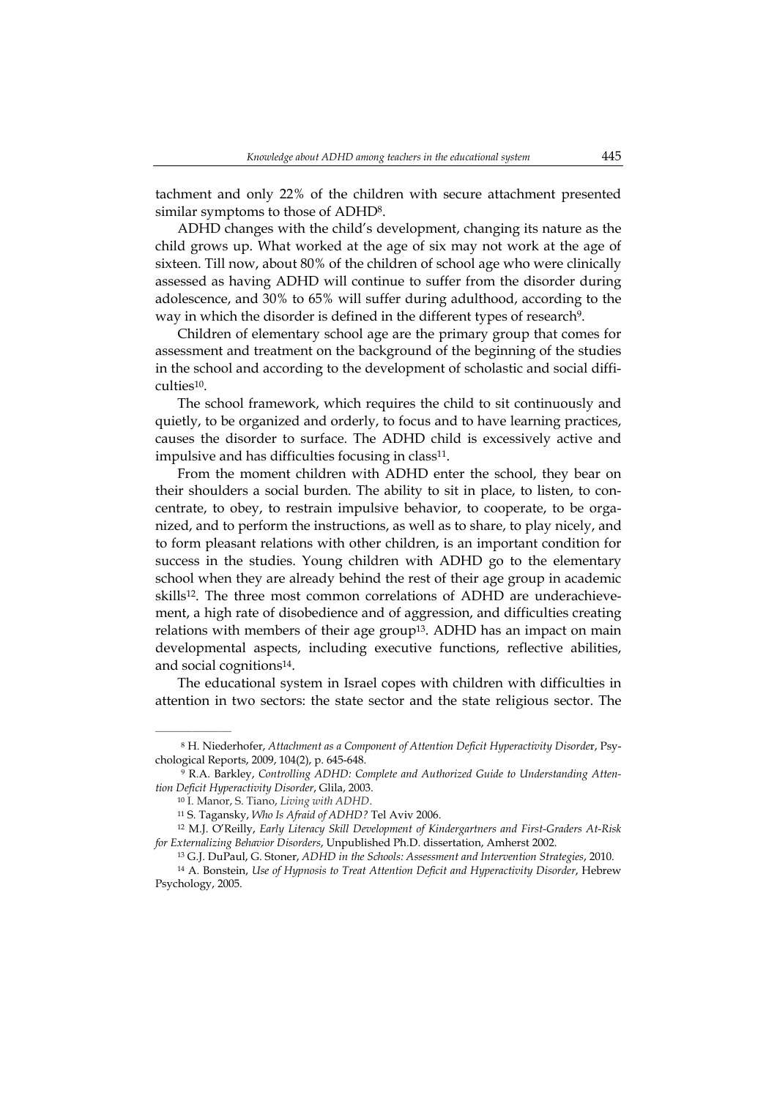tachment and only 22% of the children with secure attachment presented similar symptoms to those of ADHD8.

ADHD changes with the child's development, changing its nature as the child grows up. What worked at the age of six may not work at the age of sixteen. Till now, about 80% of the children of school age who were clinically assessed as having ADHD will continue to suffer from the disorder during adolescence, and 30% to 65% will suffer during adulthood, according to the way in which the disorder is defined in the different types of research<sup>9</sup>.

Children of elementary school age are the primary group that comes for assessment and treatment on the background of the beginning of the studies in the school and according to the development of scholastic and social difficulties10.

The school framework, which requires the child to sit continuously and quietly, to be organized and orderly, to focus and to have learning practices, causes the disorder to surface. The ADHD child is excessively active and impulsive and has difficulties focusing in class<sup>11</sup>.

From the moment children with ADHD enter the school, they bear on their shoulders a social burden. The ability to sit in place, to listen, to concentrate, to obey, to restrain impulsive behavior, to cooperate, to be organized, and to perform the instructions, as well as to share, to play nicely, and to form pleasant relations with other children, is an important condition for success in the studies. Young children with ADHD go to the elementary school when they are already behind the rest of their age group in academic skills<sup>12</sup>. The three most common correlations of ADHD are underachievement, a high rate of disobedience and of aggression, and difficulties creating relations with members of their age group<sup>13</sup>. ADHD has an impact on main developmental aspects, including executive functions, reflective abilities, and social cognitions14.

The educational system in Israel copes with children with difficulties in attention in two sectors: the state sector and the state religious sector. The

<sup>8</sup> H. Niederhofer, *Attachment as a Component of Attention Deficit Hyperactivity Disorde*r, Psychological Reports, 2009, 104(2), p. 645-648.

<sup>9</sup> R.A. Barkley, *Controlling ADHD: Complete and Authorized Guide to Understanding Attention Deficit Hyperactivity Disorder*, Glila, 2003.

<sup>10</sup> I. Manor, S. Tiano, *Living with ADHD*.

<sup>11</sup> S. Tagansky, *Who Is Afraid of ADHD?* Tel Aviv 2006.

<sup>12</sup> M.J. O'Reilly, *Early Literacy Skill Development of Kindergartners and First-Graders At-Risk for Externalizing Behavior Disorders*, Unpublished Ph.D. dissertation, Amherst 2002.

<sup>13</sup> G.J. DuPaul, G. Stoner, *ADHD in the Schools: Assessment and Intervention Strategies*, 2010.

<sup>14</sup> A. Bonstein, *Use of Hypnosis to Treat Attention Deficit and Hyperactivity Disorder*, Hebrew Psychology, 2005.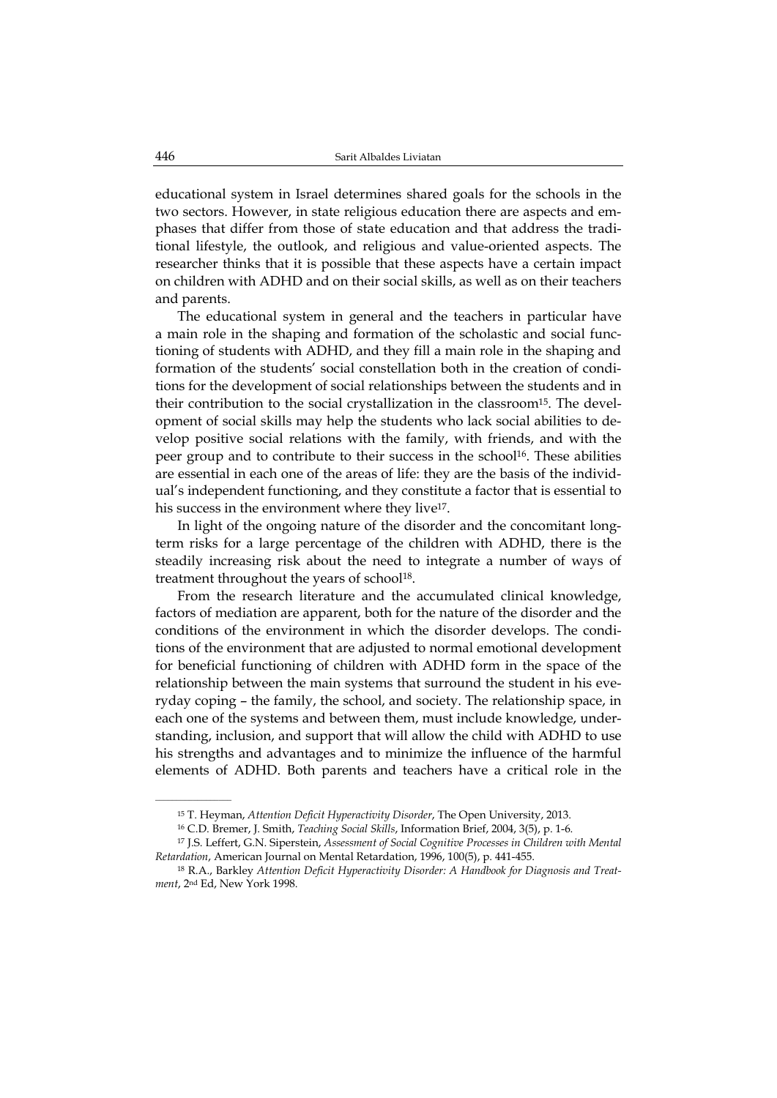educational system in Israel determines shared goals for the schools in the two sectors. However, in state religious education there are aspects and emphases that differ from those of state education and that address the traditional lifestyle, the outlook, and religious and value-oriented aspects. The researcher thinks that it is possible that these aspects have a certain impact on children with ADHD and on their social skills, as well as on their teachers and parents.

The educational system in general and the teachers in particular have a main role in the shaping and formation of the scholastic and social functioning of students with ADHD, and they fill a main role in the shaping and formation of the students' social constellation both in the creation of conditions for the development of social relationships between the students and in their contribution to the social crystallization in the classroom15. The development of social skills may help the students who lack social abilities to develop positive social relations with the family, with friends, and with the peer group and to contribute to their success in the school<sup>16</sup>. These abilities are essential in each one of the areas of life: they are the basis of the individual's independent functioning, and they constitute a factor that is essential to his success in the environment where they live<sup>17</sup>.

In light of the ongoing nature of the disorder and the concomitant longterm risks for a large percentage of the children with ADHD, there is the steadily increasing risk about the need to integrate a number of ways of treatment throughout the years of school<sup>18</sup>.

From the research literature and the accumulated clinical knowledge, factors of mediation are apparent, both for the nature of the disorder and the conditions of the environment in which the disorder develops. The conditions of the environment that are adjusted to normal emotional development for beneficial functioning of children with ADHD form in the space of the relationship between the main systems that surround the student in his everyday coping – the family, the school, and society. The relationship space, in each one of the systems and between them, must include knowledge, understanding, inclusion, and support that will allow the child with ADHD to use his strengths and advantages and to minimize the influence of the harmful elements of ADHD. Both parents and teachers have a critical role in the

<sup>15</sup> T. Heyman, *Attention Deficit Hyperactivity Disorder*, The Open University, 2013.

<sup>16</sup> C.D. Bremer, J. Smith, *Teaching Social Skills*, Information Brief, 2004, 3(5), p. 1-6.

<sup>17</sup> J.S. Leffert, G.N. Siperstein, *Assessment of Social Cognitive Processes in Children with Mental Retardation*, American Journal on Mental Retardation, 1996, 100(5), p. 441-455.

<sup>18</sup> R.A., Barkley *Attention Deficit Hyperactivity Disorder: A Handbook for Diagnosis and Treatment*, 2nd Ed, New York 1998.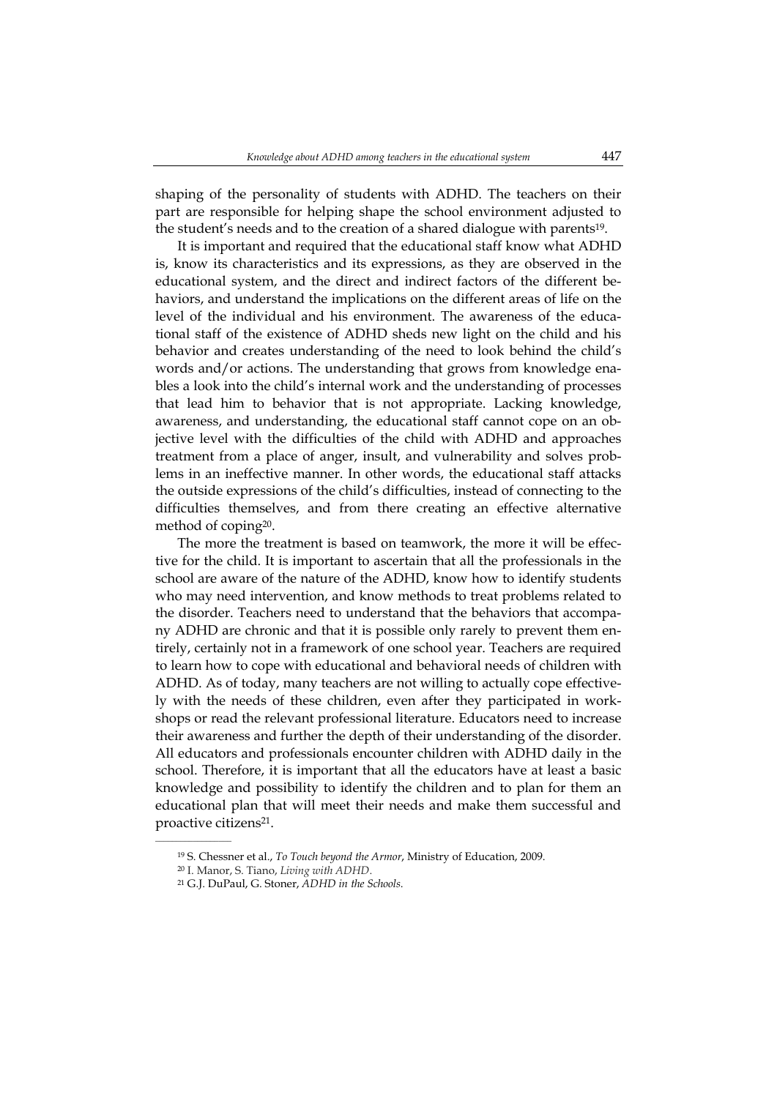shaping of the personality of students with ADHD. The teachers on their part are responsible for helping shape the school environment adjusted to the student's needs and to the creation of a shared dialogue with parents19.

It is important and required that the educational staff know what ADHD is, know its characteristics and its expressions, as they are observed in the educational system, and the direct and indirect factors of the different behaviors, and understand the implications on the different areas of life on the level of the individual and his environment. The awareness of the educational staff of the existence of ADHD sheds new light on the child and his behavior and creates understanding of the need to look behind the child's words and/or actions. The understanding that grows from knowledge enables a look into the child's internal work and the understanding of processes that lead him to behavior that is not appropriate. Lacking knowledge, awareness, and understanding, the educational staff cannot cope on an objective level with the difficulties of the child with ADHD and approaches treatment from a place of anger, insult, and vulnerability and solves problems in an ineffective manner. In other words, the educational staff attacks the outside expressions of the child's difficulties, instead of connecting to the difficulties themselves, and from there creating an effective alternative method of coping20.

The more the treatment is based on teamwork, the more it will be effective for the child. It is important to ascertain that all the professionals in the school are aware of the nature of the ADHD, know how to identify students who may need intervention, and know methods to treat problems related to the disorder. Teachers need to understand that the behaviors that accompany ADHD are chronic and that it is possible only rarely to prevent them entirely, certainly not in a framework of one school year. Teachers are required to learn how to cope with educational and behavioral needs of children with ADHD. As of today, many teachers are not willing to actually cope effectively with the needs of these children, even after they participated in workshops or read the relevant professional literature. Educators need to increase their awareness and further the depth of their understanding of the disorder. All educators and professionals encounter children with ADHD daily in the school. Therefore, it is important that all the educators have at least a basic knowledge and possibility to identify the children and to plan for them an educational plan that will meet their needs and make them successful and proactive citizens21.

<sup>19</sup> S. Chessner et al., *To Touch beyond the Armor*, Ministry of Education, 2009.

<sup>20</sup> I. Manor, S. Tiano, *Living with ADHD*.

<sup>21</sup> G.J. DuPaul, G. Stoner, *ADHD in the Schools*.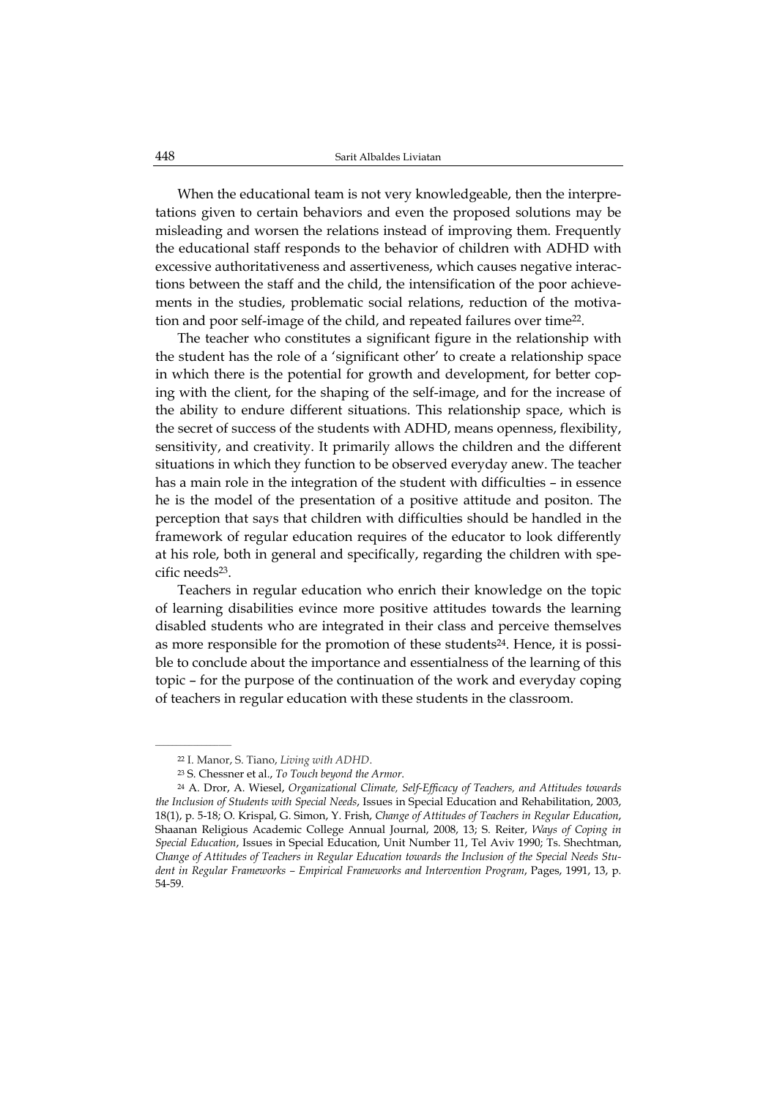When the educational team is not very knowledgeable, then the interpretations given to certain behaviors and even the proposed solutions may be misleading and worsen the relations instead of improving them. Frequently the educational staff responds to the behavior of children with ADHD with excessive authoritativeness and assertiveness, which causes negative interactions between the staff and the child, the intensification of the poor achievements in the studies, problematic social relations, reduction of the motivation and poor self-image of the child, and repeated failures over time22.

The teacher who constitutes a significant figure in the relationship with the student has the role of a 'significant other' to create a relationship space in which there is the potential for growth and development, for better coping with the client, for the shaping of the self-image, and for the increase of the ability to endure different situations. This relationship space, which is the secret of success of the students with ADHD, means openness, flexibility, sensitivity, and creativity. It primarily allows the children and the different situations in which they function to be observed everyday anew. The teacher has a main role in the integration of the student with difficulties – in essence he is the model of the presentation of a positive attitude and positon. The perception that says that children with difficulties should be handled in the framework of regular education requires of the educator to look differently at his role, both in general and specifically, regarding the children with specific needs23.

Teachers in regular education who enrich their knowledge on the topic of learning disabilities evince more positive attitudes towards the learning disabled students who are integrated in their class and perceive themselves as more responsible for the promotion of these students24. Hence, it is possible to conclude about the importance and essentialness of the learning of this topic – for the purpose of the continuation of the work and everyday coping of teachers in regular education with these students in the classroom.

<sup>22</sup> I. Manor, S. Tiano, *Living with ADHD*.

<sup>23</sup> S. Chessner et al., *To Touch beyond the Armor*.

<sup>24</sup> A. Dror, A. Wiesel, *Organizational Climate, Self-Efficacy of Teachers, and Attitudes towards the Inclusion of Students with Special Needs*, Issues in Special Education and Rehabilitation, 2003, 18(1), p. 5-18; O. Krispal, G. Simon, Y. Frish, *Change of Attitudes of Teachers in Regular Education*, Shaanan Religious Academic College Annual Journal, 2008, 13; S. Reiter, *Ways of Coping in Special Education*, Issues in Special Education, Unit Number 11, Tel Aviv 1990; Ts. Shechtman, *Change of Attitudes of Teachers in Regular Education towards the Inclusion of the Special Needs Student in Regular Frameworks – Empirical Frameworks and Intervention Program*, Pages, 1991, 13, p. 54-59.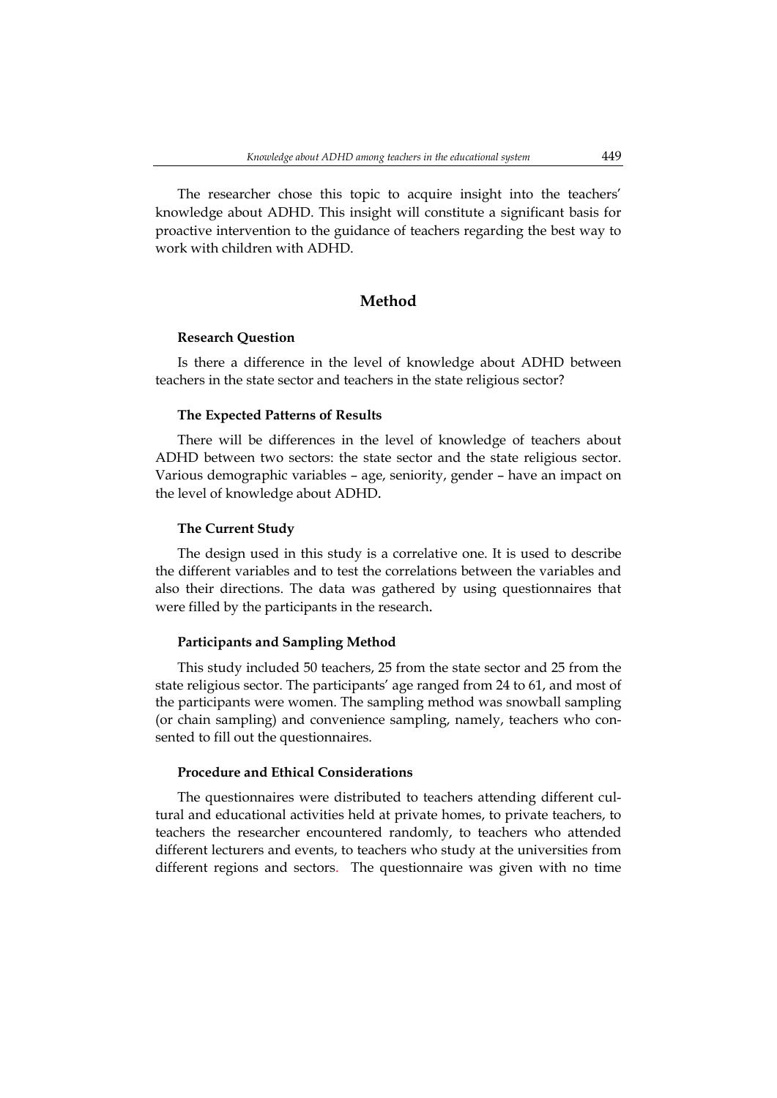The researcher chose this topic to acquire insight into the teachers' knowledge about ADHD. This insight will constitute a significant basis for proactive intervention to the guidance of teachers regarding the best way to work with children with ADHD.

## **Method**

#### **Research Question**

Is there a difference in the level of knowledge about ADHD between teachers in the state sector and teachers in the state religious sector?

#### **The Expected Patterns of Results**

There will be differences in the level of knowledge of teachers about ADHD between two sectors: the state sector and the state religious sector. Various demographic variables – age, seniority, gender – have an impact on the level of knowledge about ADHD.

#### **The Current Study**

The design used in this study is a correlative one. It is used to describe the different variables and to test the correlations between the variables and also their directions. The data was gathered by using questionnaires that were filled by the participants in the research.

#### **Participants and Sampling Method**

This study included 50 teachers, 25 from the state sector and 25 from the state religious sector. The participants' age ranged from 24 to 61, and most of the participants were women. The sampling method was snowball sampling (or chain sampling) and convenience sampling, namely, teachers who consented to fill out the questionnaires.

### **Procedure and Ethical Considerations**

The questionnaires were distributed to teachers attending different cultural and educational activities held at private homes, to private teachers, to teachers the researcher encountered randomly, to teachers who attended different lecturers and events, to teachers who study at the universities from different regions and sectors. The questionnaire was given with no time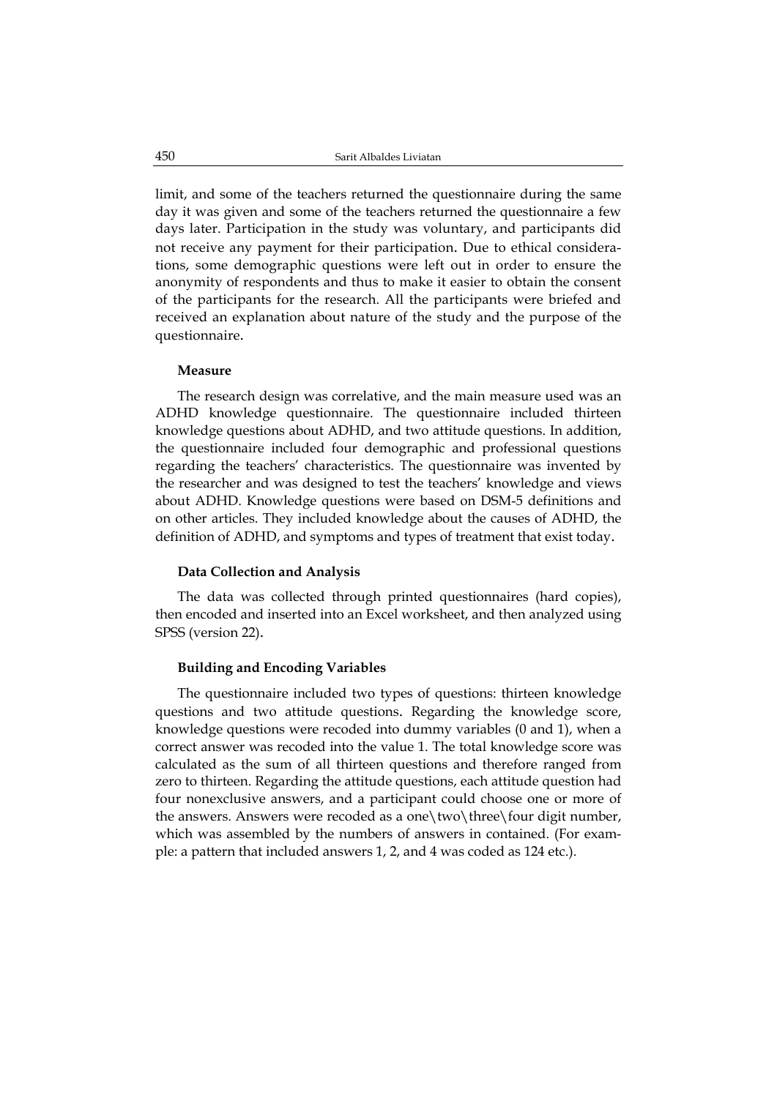limit, and some of the teachers returned the questionnaire during the same day it was given and some of the teachers returned the questionnaire a few days later. Participation in the study was voluntary, and participants did not receive any payment for their participation. Due to ethical considerations, some demographic questions were left out in order to ensure the anonymity of respondents and thus to make it easier to obtain the consent of the participants for the research. All the participants were briefed and received an explanation about nature of the study and the purpose of the questionnaire.

#### **Measure**

The research design was correlative, and the main measure used was an ADHD knowledge questionnaire. The questionnaire included thirteen knowledge questions about ADHD, and two attitude questions. In addition, the questionnaire included four demographic and professional questions regarding the teachers' characteristics. The questionnaire was invented by the researcher and was designed to test the teachers' knowledge and views about ADHD. Knowledge questions were based on DSM-5 definitions and on other articles. They included knowledge about the causes of ADHD, the definition of ADHD, and symptoms and types of treatment that exist today.

#### **Data Collection and Analysis**

The data was collected through printed questionnaires (hard copies), then encoded and inserted into an Excel worksheet, and then analyzed using SPSS (version 22).

#### **Building and Encoding Variables**

The questionnaire included two types of questions: thirteen knowledge questions and two attitude questions. Regarding the knowledge score, knowledge questions were recoded into dummy variables (0 and 1), when a correct answer was recoded into the value 1. The total knowledge score was calculated as the sum of all thirteen questions and therefore ranged from zero to thirteen. Regarding the attitude questions, each attitude question had four nonexclusive answers, and a participant could choose one or more of the answers. Answers were recoded as a one\two\three\four digit number, which was assembled by the numbers of answers in contained. (For example: a pattern that included answers 1, 2, and 4 was coded as 124 etc.).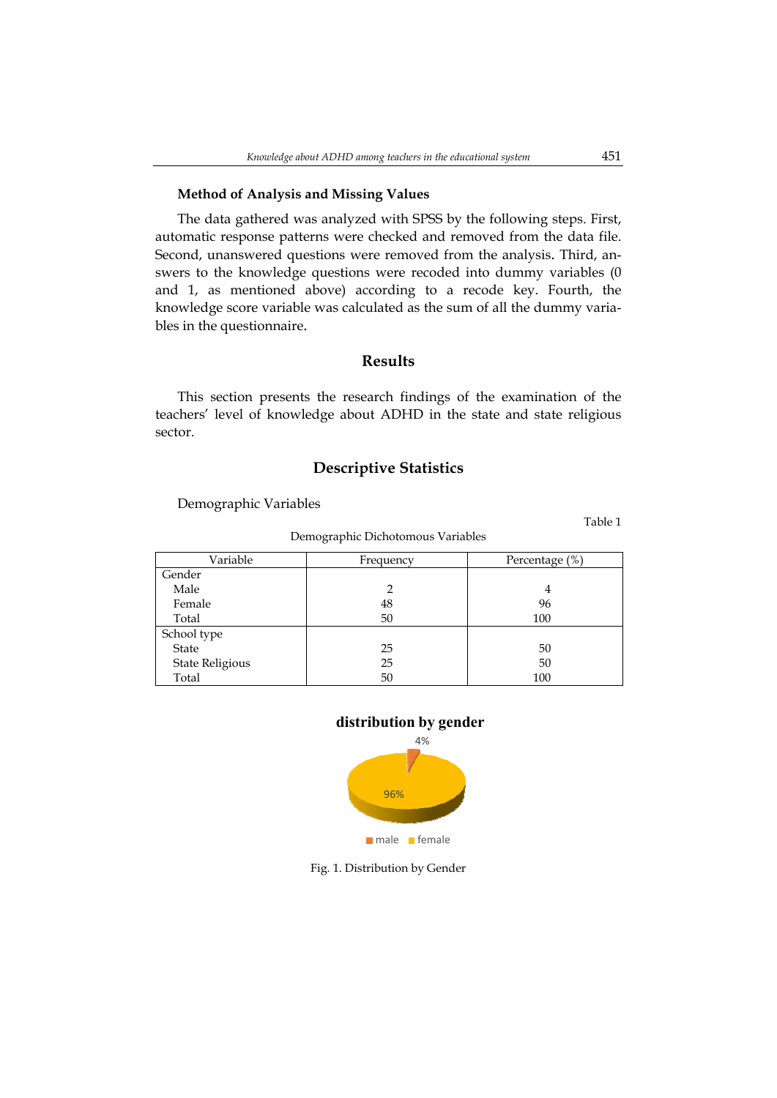#### **Method of Analysis and Missing Values**

The data gathered was analyzed with SPSS by the following steps. First, automatic response patterns were checked and removed from the data file. Second, unanswered questions were removed from the analysis. Third, answers to the knowledge questions were recoded into dummy variables (0 and 1, as mentioned above) according to a recode key. Fourth, the knowledge score variable was calculated as the sum of all the dummy variables in the questionnaire.

### **Results**

This section presents the research findings of the examination of the teachers' level of knowledge about ADHD in the state and state religious sector.

# **Descriptive Statistics**

Demographic Variables

Variable  $\qquad \qquad$  Frequency Percentage (%) Gender Male Female Total 2 48 50 4 96 100 School type State State Religious Total 25 25 50 50 50 100

Demographic Dichotomous Variables





Fig. 1. Distribution by Gender

Table 1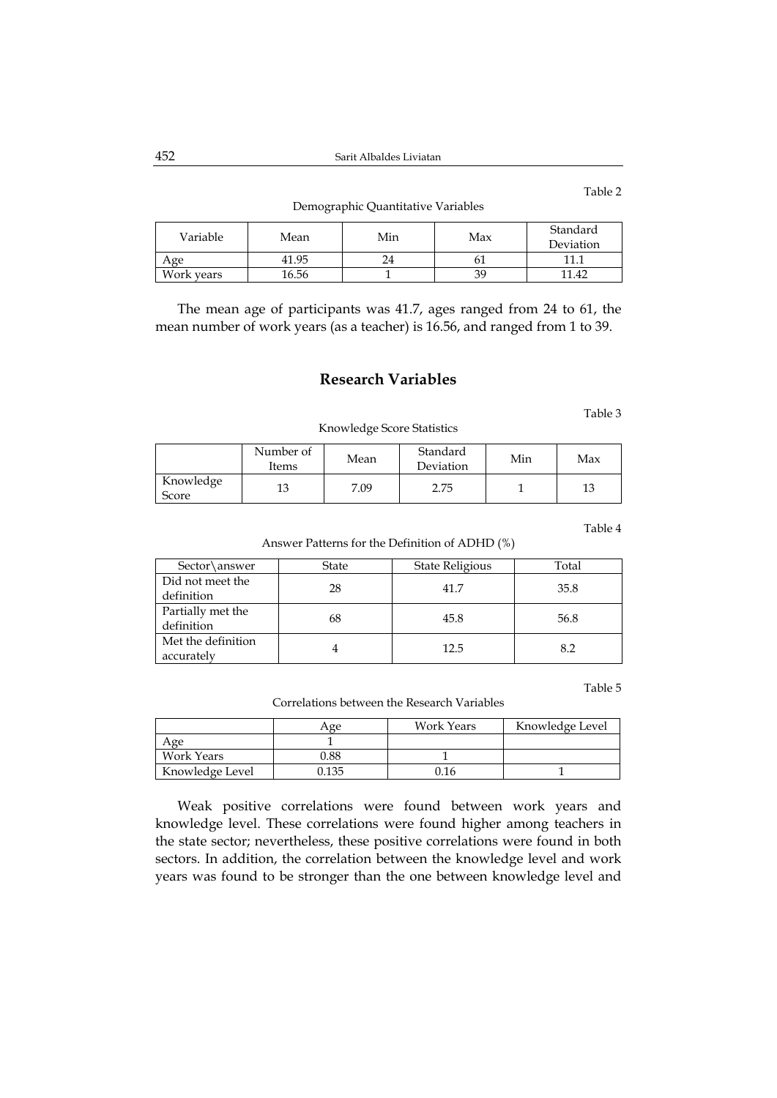Demographic Quantitative Variables

| Variable   | Mean  | Min | Max | Standard<br>Deviation |
|------------|-------|-----|-----|-----------------------|
| . vge      | 41.95 | '4  | UІ  | 111                   |
| Work years | 16.56 |     | 39  | 11.42                 |

The mean age of participants was 41.7, ages ranged from 24 to 61, the mean number of work years (as a teacher) is 16.56, and ranged from 1 to 39.

# **Research Variables**

Table 3

Table 2

Knowledge Score Statistics

|                    | Number of<br>Items | Mean | Standard<br>Deviation | Min | Max |
|--------------------|--------------------|------|-----------------------|-----|-----|
| Knowledge<br>Score | 13                 | 7.09 | 2.75                  |     |     |

Table 4

Answer Patterns for the Definition of ADHD (%)

| Sector\answer                    | <b>State</b> | State Religious | Total |
|----------------------------------|--------------|-----------------|-------|
| Did not meet the<br>definition   | 28           | 41.7            | 35.8  |
| Partially met the<br>definition  | 68           | 45.8            | 56.8  |
| Met the definition<br>accurately |              | 12.5            | 8.2   |

Table 5

Correlations between the Research Variables

|                 | Age   | <b>Work Years</b> | Knowledge Level |
|-----------------|-------|-------------------|-----------------|
| Age             |       |                   |                 |
| Work Years      | 0.88  |                   |                 |
| Knowledge Level | ).135 | 0.16              |                 |

Weak positive correlations were found between work years and knowledge level. These correlations were found higher among teachers in the state sector; nevertheless, these positive correlations were found in both sectors. In addition, the correlation between the knowledge level and work years was found to be stronger than the one between knowledge level and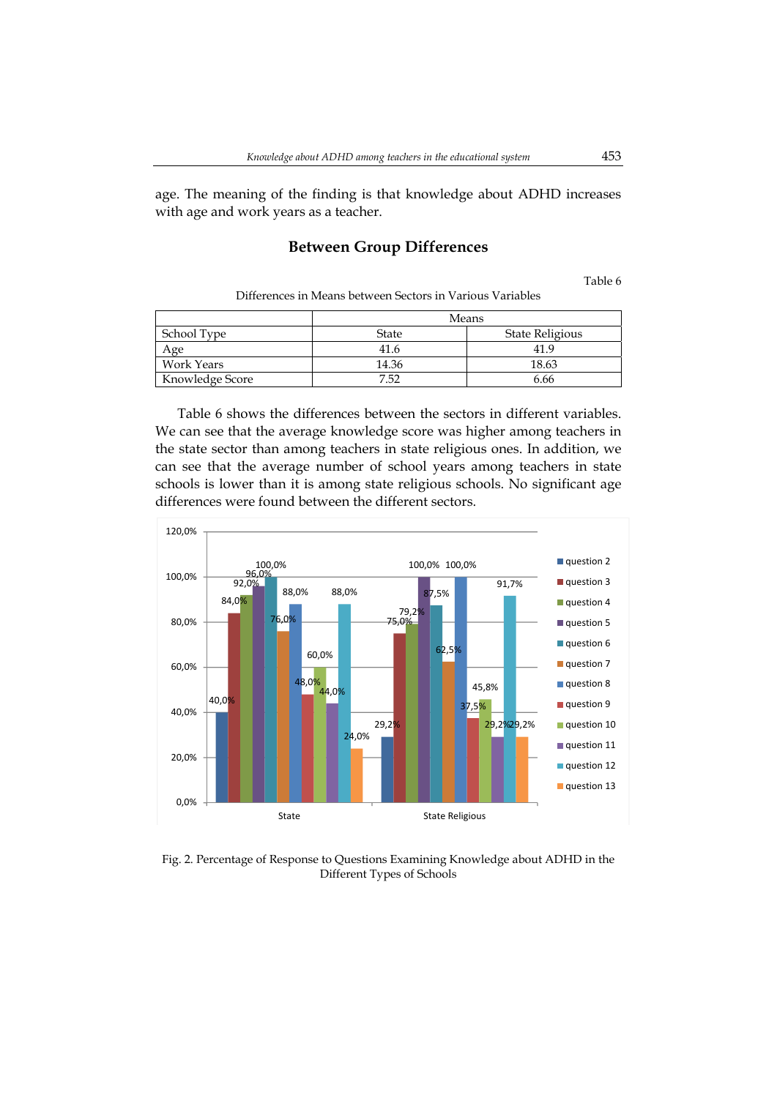age. The meaning of the finding is that knowledge about ADHD increases with age and work years as a teacher.

# **Between Group Differences**

Table 6

Differences in Means between Sectors in Various Variables

|                   | Means |                 |  |
|-------------------|-------|-----------------|--|
| School Type       | State | State Religious |  |
| Age               | 41.6  | 41.9            |  |
| <b>Work Years</b> | 14.36 | 18.63           |  |
| Knowledge Score   | 7.52  | 6.66            |  |

Table 6 shows the differences between the sectors in different variables. We can see that the average knowledge score was higher among teachers in the state sector than among teachers in state religious ones. In addition, we can see that the average number of school years among teachers in state schools is lower than it is among state religious schools. No significant age differences were found between the different sectors.



Fig. 2. Percentage of Response to Questions Examining Knowledge about ADHD in the Different Types of Schools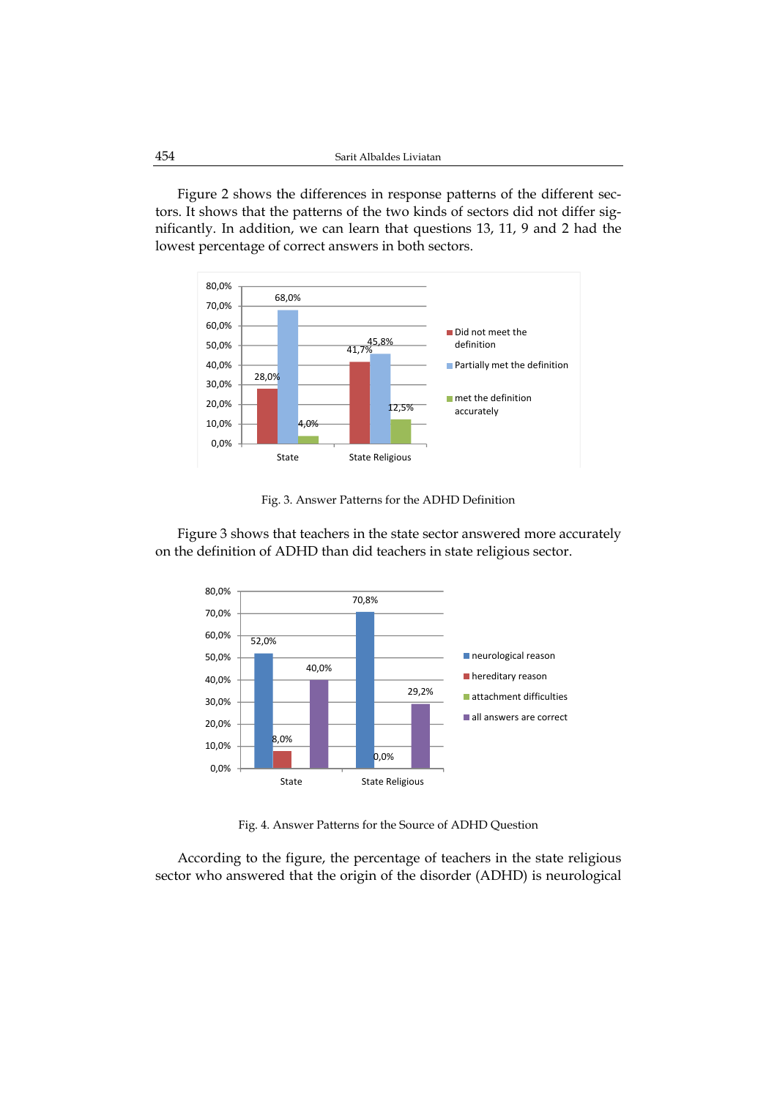Figure 2 shows the differences in response patterns of the different sectors. It shows that the patterns of the two kinds of sectors did not differ significantly. In addition, we can learn that questions 13, 11, 9 and 2 had the lowest percentage of correct answers in both sectors.



Fig. 3. Answer Patterns for the ADHD Definition

Figure 3 shows that teachers in the state sector answered more accurately on the definition of ADHD than did teachers in state religious sector.



Fig. 4. Answer Patterns for the Source of ADHD Question

According to the figure, the percentage of teachers in the state religious sector who answered that the origin of the disorder (ADHD) is neurological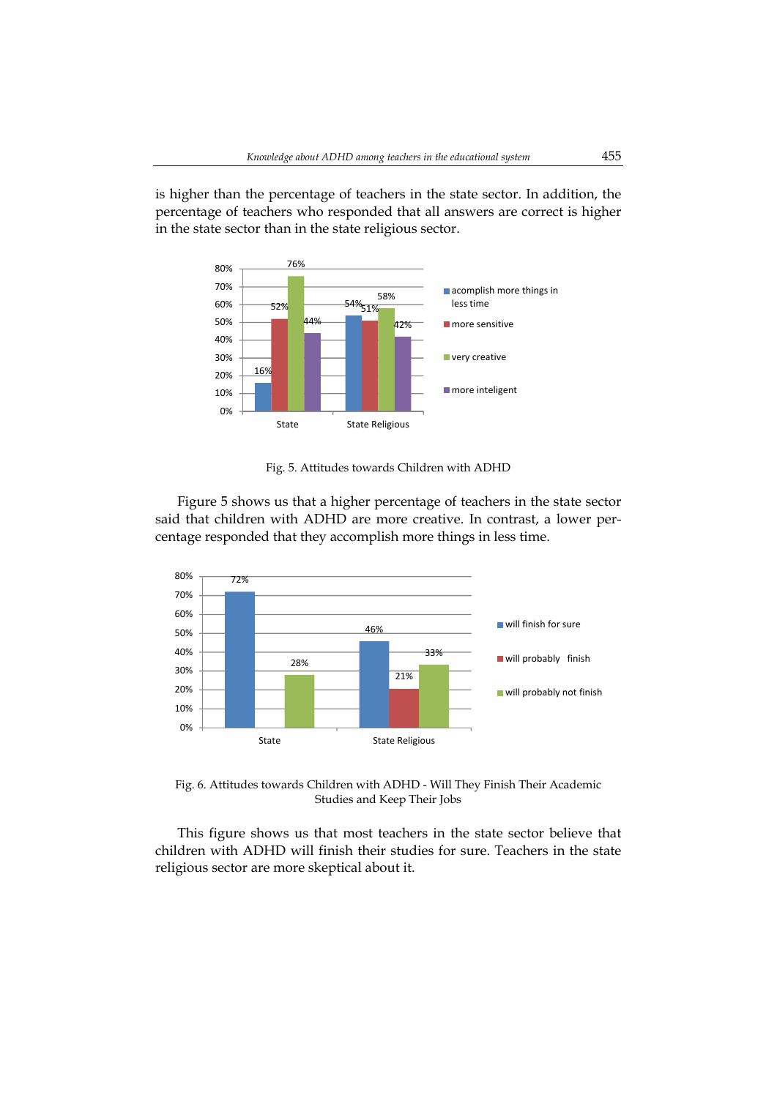is higher than the percentage of teachers in the state sector. In addition, the percentage of teachers who responded that all answers are correct is higher in the state sector than in the state religious sector.



Fig. 5. Attitudes towards Children with ADHD

Figure 5 shows us that a higher percentage of teachers in the state sector said that children with ADHD are more creative. In contrast, a lower percentage responded that they accomplish more things in less time.



Fig. 6. Attitudes towards Children with ADHD - Will They Finish Their Academic Studies and Keep Their Jobs

This figure shows us that most teachers in the state sector believe that children with ADHD will finish their studies for sure. Teachers in the state religious sector are more skeptical about it.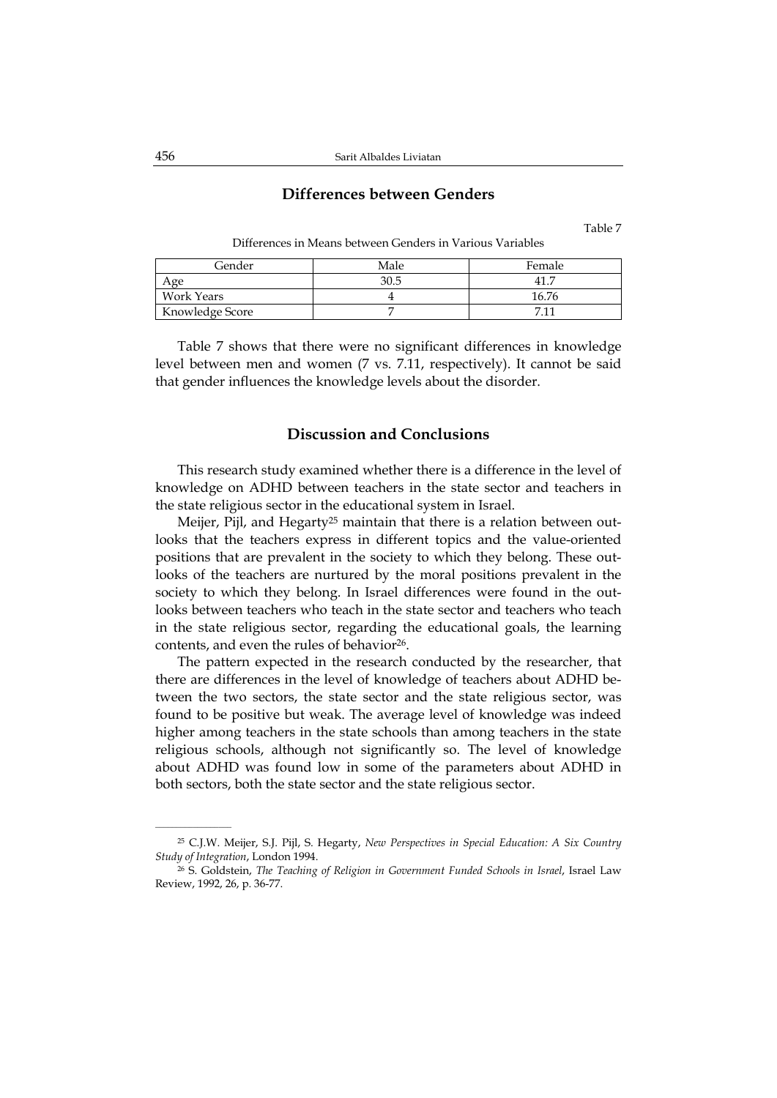### **Differences between Genders**

Table 7

| Gender          | Male | Female |
|-----------------|------|--------|
| Age             | 30.5 |        |
| Work Years      |      | 16.76  |
| Knowledge Score |      |        |

Differences in Means between Genders in Various Variables

Table 7 shows that there were no significant differences in knowledge level between men and women (7 vs. 7.11, respectively). It cannot be said that gender influences the knowledge levels about the disorder.

## **Discussion and Conclusions**

This research study examined whether there is a difference in the level of knowledge on ADHD between teachers in the state sector and teachers in the state religious sector in the educational system in Israel.

Meijer, Pijl, and Hegarty<sup>25</sup> maintain that there is a relation between outlooks that the teachers express in different topics and the value-oriented positions that are prevalent in the society to which they belong. These outlooks of the teachers are nurtured by the moral positions prevalent in the society to which they belong. In Israel differences were found in the outlooks between teachers who teach in the state sector and teachers who teach in the state religious sector, regarding the educational goals, the learning contents, and even the rules of behavior<sup>26</sup>.

The pattern expected in the research conducted by the researcher, that there are differences in the level of knowledge of teachers about ADHD between the two sectors, the state sector and the state religious sector, was found to be positive but weak. The average level of knowledge was indeed higher among teachers in the state schools than among teachers in the state religious schools, although not significantly so. The level of knowledge about ADHD was found low in some of the parameters about ADHD in both sectors, both the state sector and the state religious sector.

<sup>25</sup> C.J.W. Meijer, S.J. Pijl, S. Hegarty, *New Perspectives in Special Education: A Six Country Study of Integration*, London 1994.

<sup>26</sup> S. Goldstein, *The Teaching of Religion in Government Funded Schools in Israel*, Israel Law Review, 1992, 26, p. 36-77.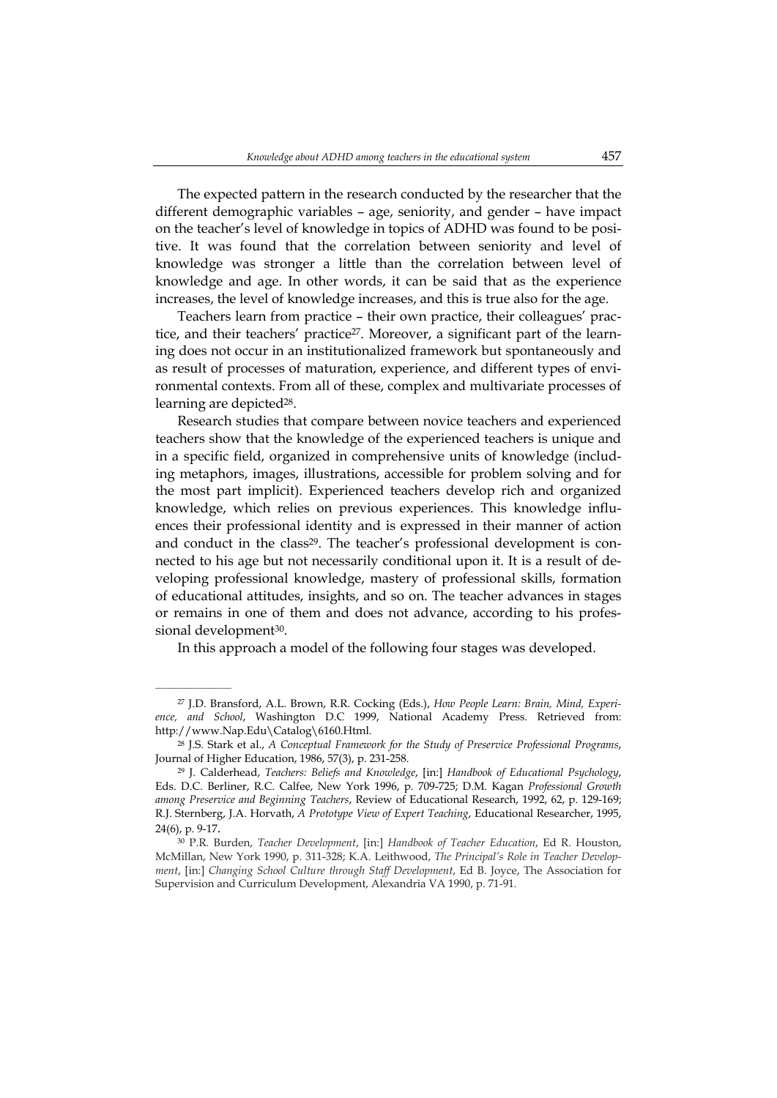The expected pattern in the research conducted by the researcher that the different demographic variables – age, seniority, and gender – have impact on the teacher's level of knowledge in topics of ADHD was found to be positive. It was found that the correlation between seniority and level of knowledge was stronger a little than the correlation between level of knowledge and age. In other words, it can be said that as the experience increases, the level of knowledge increases, and this is true also for the age.

Teachers learn from practice – their own practice, their colleagues' practice, and their teachers' practice<sup>27</sup>. Moreover, a significant part of the learning does not occur in an institutionalized framework but spontaneously and as result of processes of maturation, experience, and different types of environmental contexts. From all of these, complex and multivariate processes of learning are depicted<sup>28</sup>.

Research studies that compare between novice teachers and experienced teachers show that the knowledge of the experienced teachers is unique and in a specific field, organized in comprehensive units of knowledge (including metaphors, images, illustrations, accessible for problem solving and for the most part implicit). Experienced teachers develop rich and organized knowledge, which relies on previous experiences. This knowledge influences their professional identity and is expressed in their manner of action and conduct in the class<sup>29</sup>. The teacher's professional development is connected to his age but not necessarily conditional upon it. It is a result of developing professional knowledge, mastery of professional skills, formation of educational attitudes, insights, and so on. The teacher advances in stages or remains in one of them and does not advance, according to his professional development<sup>30</sup>.

In this approach a model of the following four stages was developed.

 $\overline{\phantom{a}}$  , where  $\overline{\phantom{a}}$ 

<sup>27</sup> J.D. Bransford, A.L. Brown, R.R. Cocking (Eds.), *How People Learn: Brain, Mind, Experience, and School*, Washington D.C 1999, National Academy Press. Retrieved from: http://www.Nap.Edu\Catalog\6160.Html.

<sup>28</sup> J.S. Stark et al., *A Conceptual Framework for the Study of Preservice Professional Programs*, Journal of Higher Education, 1986, 57(3), p. 231-258.

<sup>29</sup> J. Calderhead, *Teachers: Beliefs and Knowledge*, [in:] *Handbook of Educational Psychology*, Eds. D.C. Berliner, R.C. Calfee, New York 1996, p. 709-725; D.M. Kagan *Professional Growth among Preservice and Beginning Teachers*, Review of Educational Research, 1992, 62, p. 129-169; R.J. Sternberg, J.A. Horvath, *A Prototype View of Expert Teaching*, Educational Researcher, 1995, 24(6), p. 9-17.

<sup>30</sup> P.R. Burden, *Teacher Development*, [in:] *Handbook of Teacher Education*, Ed R. Houston, McMillan, New York 1990, p. 311-328; K.A. Leithwood, *The Principal's Role in Teacher Development*, [in:] *Changing School Culture through Staff Development*, Ed B. Joyce, The Association for Supervision and Curriculum Development, Alexandria VA 1990, p. 71-91.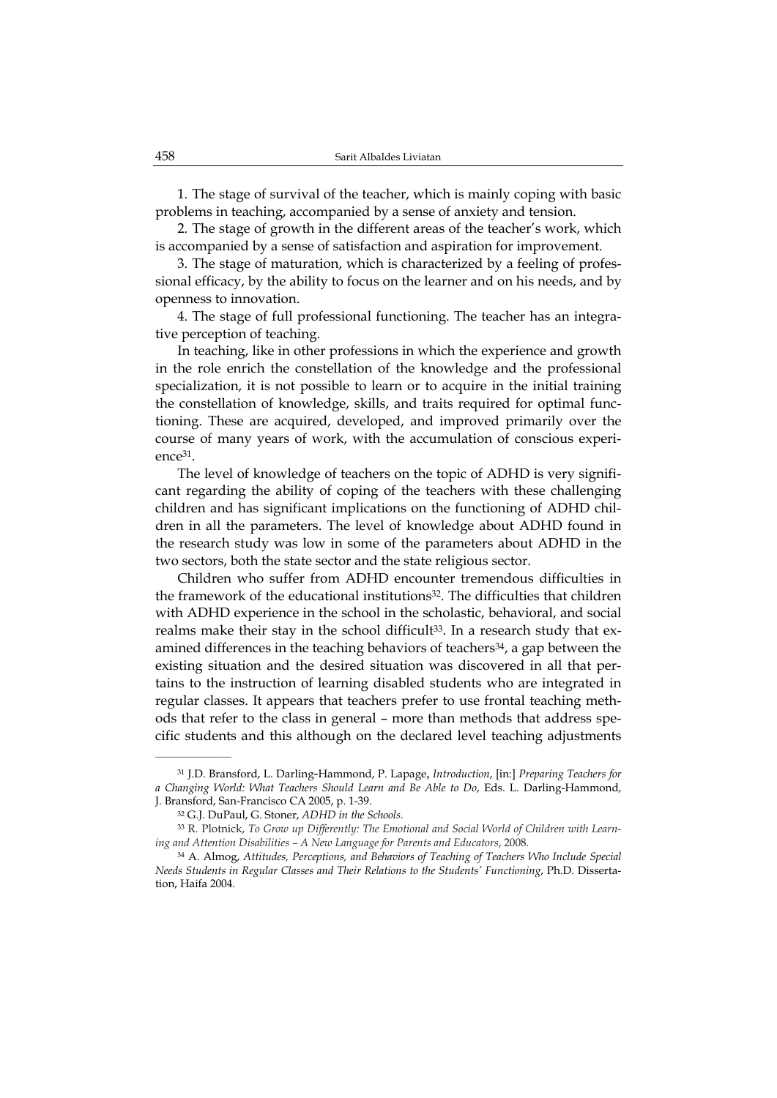1. The stage of survival of the teacher, which is mainly coping with basic problems in teaching, accompanied by a sense of anxiety and tension.

2. The stage of growth in the different areas of the teacher's work, which is accompanied by a sense of satisfaction and aspiration for improvement.

3. The stage of maturation, which is characterized by a feeling of professional efficacy, by the ability to focus on the learner and on his needs, and by openness to innovation.

4. The stage of full professional functioning. The teacher has an integrative perception of teaching.

In teaching, like in other professions in which the experience and growth in the role enrich the constellation of the knowledge and the professional specialization, it is not possible to learn or to acquire in the initial training the constellation of knowledge, skills, and traits required for optimal functioning. These are acquired, developed, and improved primarily over the course of many years of work, with the accumulation of conscious experience31.

The level of knowledge of teachers on the topic of ADHD is very significant regarding the ability of coping of the teachers with these challenging children and has significant implications on the functioning of ADHD children in all the parameters. The level of knowledge about ADHD found in the research study was low in some of the parameters about ADHD in the two sectors, both the state sector and the state religious sector.

Children who suffer from ADHD encounter tremendous difficulties in the framework of the educational institutions<sup>32</sup>. The difficulties that children with ADHD experience in the school in the scholastic, behavioral, and social realms make their stay in the school difficult<sup>33</sup>. In a research study that examined differences in the teaching behaviors of teachers<sup>34</sup>, a gap between the existing situation and the desired situation was discovered in all that pertains to the instruction of learning disabled students who are integrated in regular classes. It appears that teachers prefer to use frontal teaching methods that refer to the class in general – more than methods that address specific students and this although on the declared level teaching adjustments

<sup>31</sup> J.D. Bransford, L. Darling-Hammond, P. Lapage, *Introduction*, [in:] *Preparing Teachers for a Changing World: What Teachers Should Learn and Be Able to Do*, Eds. L. Darling-Hammond, J. Bransford, San-Francisco CA 2005, p. 1-39.

<sup>32</sup> G.J. DuPaul, G. Stoner, *ADHD in the Schools*.

<sup>33</sup> R. Plotnick, *To Grow up Differently: The Emotional and Social World of Children with Learning and Attention Disabilities – A New Language for Parents and Educators*, 2008.

<sup>34</sup> A. Almog, *Attitudes, Perceptions, and Behaviors of Teaching of Teachers Who Include Special Needs Students in Regular Classes and Their Relations to the Students' Functioning*, Ph.D. Dissertation, Haifa 2004.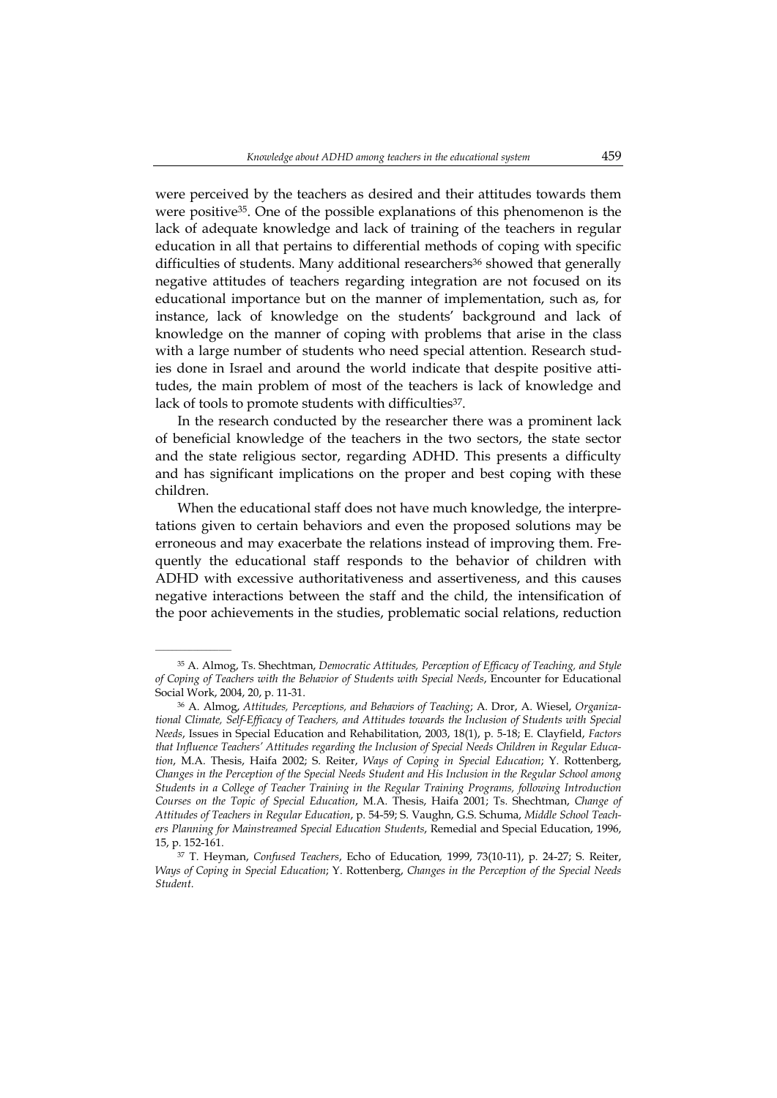were perceived by the teachers as desired and their attitudes towards them were positive35. One of the possible explanations of this phenomenon is the lack of adequate knowledge and lack of training of the teachers in regular education in all that pertains to differential methods of coping with specific difficulties of students. Many additional researchers<sup>36</sup> showed that generally negative attitudes of teachers regarding integration are not focused on its educational importance but on the manner of implementation, such as, for instance, lack of knowledge on the students' background and lack of knowledge on the manner of coping with problems that arise in the class with a large number of students who need special attention. Research studies done in Israel and around the world indicate that despite positive attitudes, the main problem of most of the teachers is lack of knowledge and lack of tools to promote students with difficulties<sup>37</sup>.

In the research conducted by the researcher there was a prominent lack of beneficial knowledge of the teachers in the two sectors, the state sector and the state religious sector, regarding ADHD. This presents a difficulty and has significant implications on the proper and best coping with these children.

When the educational staff does not have much knowledge, the interpretations given to certain behaviors and even the proposed solutions may be erroneous and may exacerbate the relations instead of improving them. Frequently the educational staff responds to the behavior of children with ADHD with excessive authoritativeness and assertiveness, and this causes negative interactions between the staff and the child, the intensification of the poor achievements in the studies, problematic social relations, reduction

 $\overline{\phantom{a}}$  , where  $\overline{\phantom{a}}$ 

<sup>35</sup> A. Almog, Ts. Shechtman, *Democratic Attitudes, Perception of Efficacy of Teaching, and Style of Coping of Teachers with the Behavior of Students with Special Needs*, Encounter for Educational Social Work, 2004, 20, p. 11-31.

<sup>36</sup> A. Almog, *Attitudes, Perceptions, and Behaviors of Teaching*; A. Dror, A. Wiesel, *Organizational Climate, Self-Efficacy of Teachers, and Attitudes towards the Inclusion of Students with Special Needs*, Issues in Special Education and Rehabilitation, 2003, 18(1), p. 5-18; E. Clayfield, *Factors that Influence Teachers' Attitudes regarding the Inclusion of Special Needs Children in Regular Education*, M.A. Thesis, Haifa 2002; S. Reiter, *Ways of Coping in Special Education*; Y. Rottenberg, *Changes in the Perception of the Special Needs Student and His Inclusion in the Regular School among Students in a College of Teacher Training in the Regular Training Programs, following Introduction Courses on the Topic of Special Education*, M.A. Thesis, Haifa 2001; Ts. Shechtman, *Change of Attitudes of Teachers in Regular Education*, p. 54-59; S. Vaughn, G.S. Schuma, *Middle School Teachers Planning for Mainstreamed Special Education Students*, Remedial and Special Education, 1996, 15, p. 152-161.

<sup>37</sup> T. Heyman, *Confused Teachers*, Echo of Education*,* 1999, 73(10-11), p. 24-27; S. Reiter, *Ways of Coping in Special Education*; Y. Rottenberg, *Changes in the Perception of the Special Needs Student*.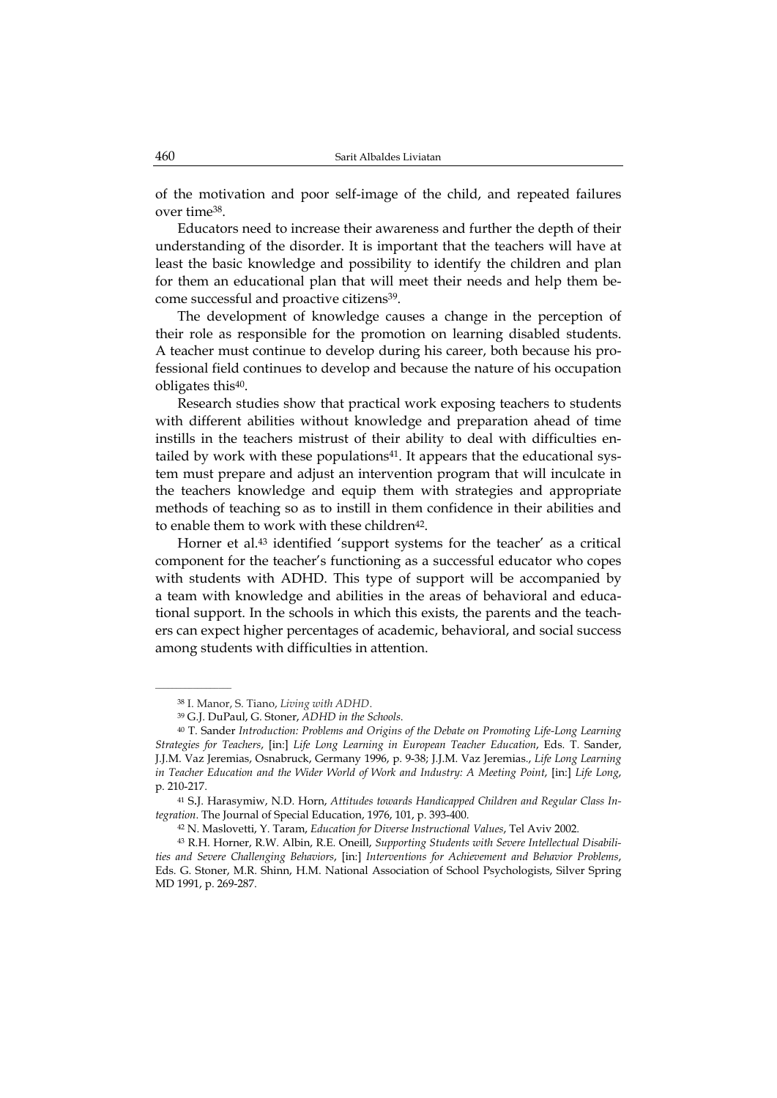of the motivation and poor self-image of the child, and repeated failures over time38.

Educators need to increase their awareness and further the depth of their understanding of the disorder. It is important that the teachers will have at least the basic knowledge and possibility to identify the children and plan for them an educational plan that will meet their needs and help them become successful and proactive citizens<sup>39</sup>.

The development of knowledge causes a change in the perception of their role as responsible for the promotion on learning disabled students. A teacher must continue to develop during his career, both because his professional field continues to develop and because the nature of his occupation obligates this40.

Research studies show that practical work exposing teachers to students with different abilities without knowledge and preparation ahead of time instills in the teachers mistrust of their ability to deal with difficulties entailed by work with these populations<sup>41</sup>. It appears that the educational system must prepare and adjust an intervention program that will inculcate in the teachers knowledge and equip them with strategies and appropriate methods of teaching so as to instill in them confidence in their abilities and to enable them to work with these children<sup>42</sup>.

Horner et al.43 identified 'support systems for the teacher' as a critical component for the teacher's functioning as a successful educator who copes with students with ADHD. This type of support will be accompanied by a team with knowledge and abilities in the areas of behavioral and educational support. In the schools in which this exists, the parents and the teachers can expect higher percentages of academic, behavioral, and social success among students with difficulties in attention.

 $\overline{\phantom{a}}$  , where  $\overline{\phantom{a}}$ 

<sup>38</sup> I. Manor, S. Tiano, *Living with ADHD*.

<sup>39</sup> G.J. DuPaul, G. Stoner, *ADHD in the Schools*.

<sup>40</sup> T. Sander *Introduction: Problems and Origins of the Debate on Promoting Life-Long Learning Strategies for Teachers*, [in:] *Life Long Learning in European Teacher Education*, Eds. T. Sander, J.J.M. Vaz Jeremias, Osnabruck, Germany 1996, p. 9-38; J.J.M. Vaz Jeremias., *Life Long Learning in Teacher Education and the Wider World of Work and Industry: A Meeting Point*, [in:] *Life Long*, p. 210-217.

<sup>41</sup> S.J. Harasymiw, N.D. Horn, *Attitudes towards Handicapped Children and Regular Class Integration*. The Journal of Special Education, 1976, 101, p. 393-400.

<sup>42</sup> N. Maslovetti, Y. Taram, *Education for Diverse Instructional Values*, Tel Aviv 2002.

<sup>43</sup> R.H. Horner, R.W. Albin, R.E. Oneill, *Supporting Students with Severe Intellectual Disabilities and Severe Challenging Behaviors*, [in:] *Interventions for Achievement and Behavior Problems*, Eds. G. Stoner, M.R. Shinn, H.M. National Association of School Psychologists, Silver Spring MD 1991, p. 269-287.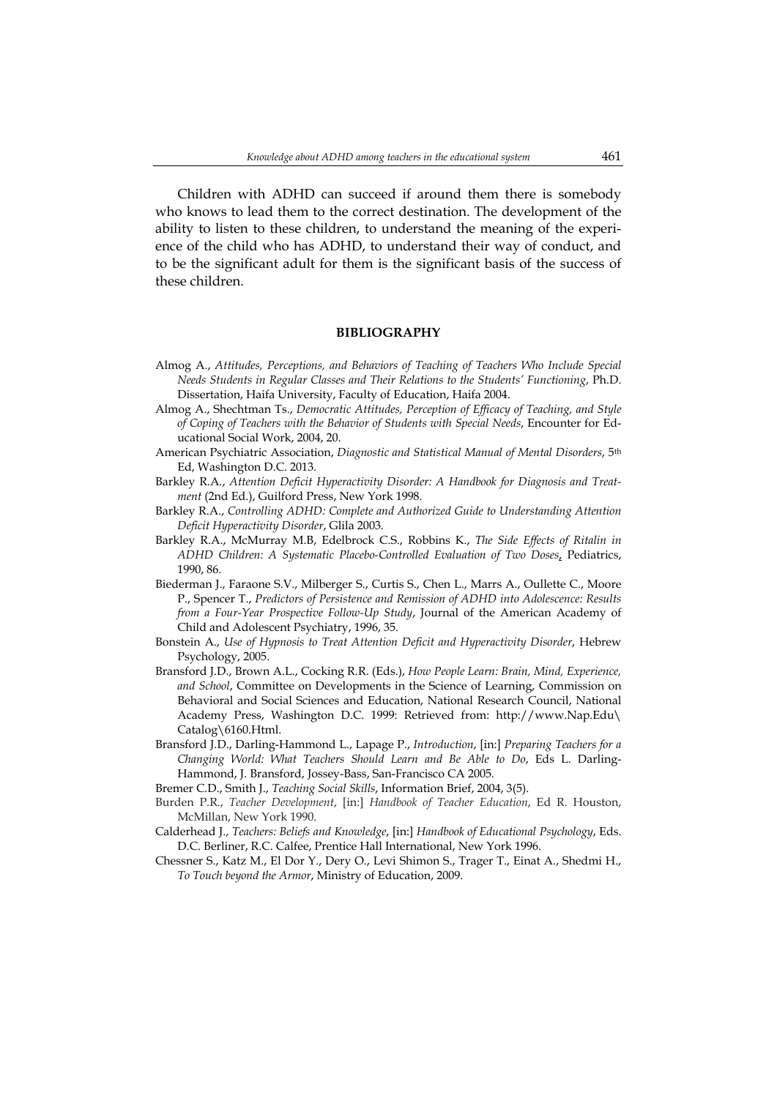Children with ADHD can succeed if around them there is somebody who knows to lead them to the correct destination. The development of the ability to listen to these children, to understand the meaning of the experience of the child who has ADHD, to understand their way of conduct, and to be the significant adult for them is the significant basis of the success of these children.

#### **BIBLIOGRAPHY**

- Almog A., *Attitudes, Perceptions, and Behaviors of Teaching of Teachers Who Include Special Needs Students in Regular Classes and Their Relations to the Students' Functioning*, Ph.D. Dissertation, Haifa University, Faculty of Education, Haifa 2004.
- Almog A., Shechtman Ts., *Democratic Attitudes, Perception of Efficacy of Teaching, and Style of Coping of Teachers with the Behavior of Students with Special Needs*, Encounter for Educational Social Work, 2004, 20.
- American Psychiatric Association, *Diagnostic and Statistical Manual of Mental Disorders*, 5th Ed, Washington D.C. 2013.
- Barkley R.A., *Attention Deficit Hyperactivity Disorder: A Handbook for Diagnosis and Treatment* (2nd Ed.), Guilford Press, New York 1998.
- Barkley R.A., *Controlling ADHD: Complete and Authorized Guide to Understanding Attention Deficit Hyperactivity Disorder*, Glila 2003.
- Barkley R.A., McMurray M.B, Edelbrock C.S., Robbins K., *The Side Effects of Ritalin in ADHD Children: A Systematic Placebo-Controlled Evaluation of Two Doses*, Pediatrics, 1990, 86.
- Biederman J., Faraone S.V., Milberger S., Curtis S., Chen L., Marrs A., Oullette C., Moore P., Spencer T., *Predictors of Persistence and Remission of ADHD into Adolescence: Results from a Four-Year Prospective Follow-Up Study*, Journal of the American Academy of Child and Adolescent Psychiatry, 1996, 35.
- Bonstein A., *Use of Hypnosis to Treat Attention Deficit and Hyperactivity Disorder*, Hebrew Psychology, 2005.
- Bransford J.D., Brown A.L., Cocking R.R. (Eds.), *How People Learn: Brain, Mind, Experience, and School*, Committee on Developments in the Science of Learning, Commission on Behavioral and Social Sciences and Education, National Research Council, National Academy Press, Washington D.C. 1999: Retrieved from: http://www.Nap.Edu\ Catalog\6160.Html.
- Bransford J.D., Darling-Hammond L., Lapage P., *Introduction*, [in:] *Preparing Teachers for a Changing World: What Teachers Should Learn and Be Able to Do*, Eds L. Darling-Hammond, J. Bransford, Jossey-Bass, San-Francisco CA 2005.
- Bremer C.D., Smith J., *Teaching Social Skills*, Information Brief, 2004, 3(5).
- Burden P.R., *Teacher Development*, [in:] *Handbook of Teacher Education*, Ed R. Houston, McMillan, New York 1990.
- Calderhead J., *Teachers: Beliefs and Knowledge*, [in:] *Handbook of Educational Psychology*, Eds. D.C. Berliner, R.C. Calfee, Prentice Hall International, New York 1996.
- Chessner S., Katz M., El Dor Y., Dery O., Levi Shimon S., Trager T., Einat A., Shedmi H., *To Touch beyond the Armor*, Ministry of Education, 2009.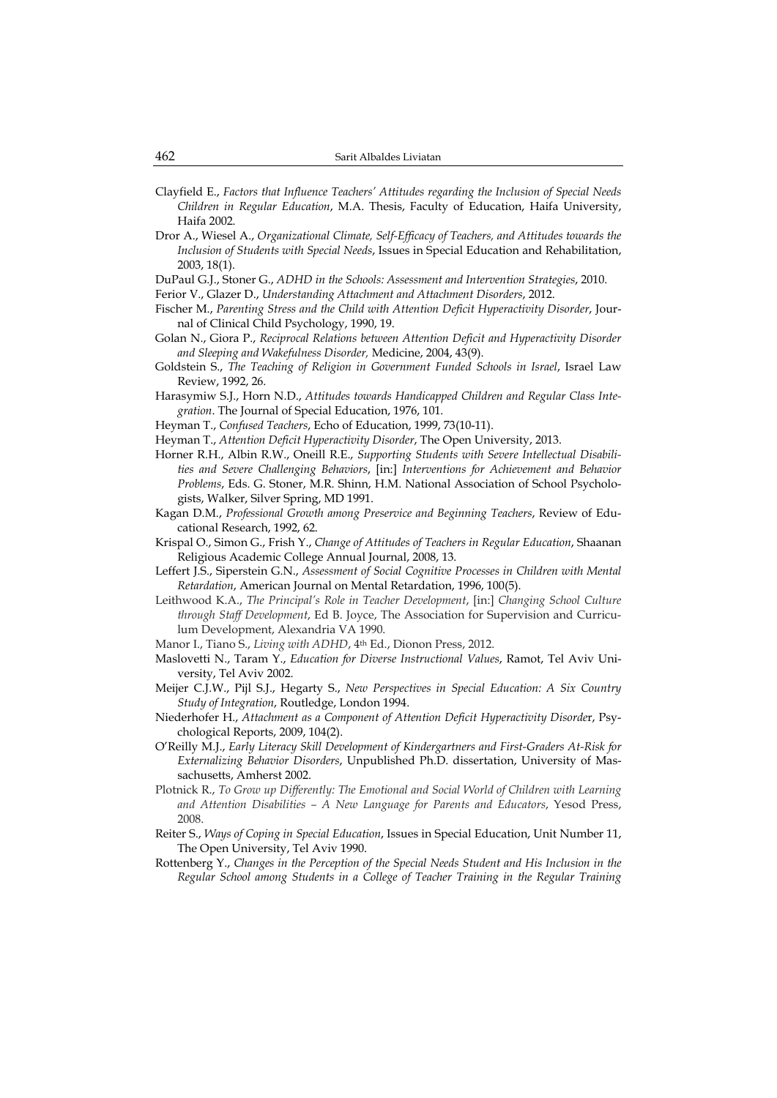- Clayfield E., *Factors that Influence Teachers' Attitudes regarding the Inclusion of Special Needs Children in Regular Education*, M.A. Thesis, Faculty of Education, Haifa University, Haifa 2002.
- Dror A., Wiesel A., *Organizational Climate, Self-Efficacy of Teachers, and Attitudes towards the Inclusion of Students with Special Needs*, Issues in Special Education and Rehabilitation, 2003, 18(1).
- DuPaul G.J., Stoner G., *ADHD in the Schools: Assessment and Intervention Strategies*, 2010.
- Ferior V., Glazer D., *Understanding Attachment and Attachment Disorders*, 2012.
- Fischer M., *Parenting Stress and the Child with Attention Deficit Hyperactivity Disorder*, Journal of Clinical Child Psychology, 1990, 19.
- Golan N., Giora P., *Reciprocal Relations between Attention Deficit and Hyperactivity Disorder and Sleeping and Wakefulness Disorder,* Medicine, 2004, 43(9).
- Goldstein S., *The Teaching of Religion in Government Funded Schools in Israel*, Israel Law Review, 1992, 26.
- Harasymiw S.J., Horn N.D., *Attitudes towards Handicapped Children and Regular Class Integration*. The Journal of Special Education, 1976, 101.
- Heyman T., *Confused Teachers*, Echo of Education, 1999, 73(10-11).
- Heyman T., *Attention Deficit Hyperactivity Disorder*, The Open University, 2013.
- Horner R.H., Albin R.W., Oneill R.E., *Supporting Students with Severe Intellectual Disabilities and Severe Challenging Behaviors*, [in:] *Interventions for Achievement and Behavior Problems*, Eds. G. Stoner, M.R. Shinn, H.M. National Association of School Psychologists, Walker, Silver Spring, MD 1991.
- Kagan D.M., *Professional Growth among Preservice and Beginning Teachers*, Review of Educational Research, 1992, 62.
- Krispal O., Simon G., Frish Y., *Change of Attitudes of Teachers in Regular Education*, Shaanan Religious Academic College Annual Journal, 2008, 13.
- Leffert J.S., Siperstein G.N., *Assessment of Social Cognitive Processes in Children with Mental Retardation*, American Journal on Mental Retardation, 1996, 100(5).
- Leithwood K.A., *The Principal's Role in Teacher Development*, [in:] *Changing School Culture through Staff Development*, Ed B. Joyce, The Association for Supervision and Curriculum Development, Alexandria VA 1990.
- Manor I., Tiano S., *Living with ADHD*, 4th Ed., Dionon Press, 2012.
- Maslovetti N., Taram Y., *Education for Diverse Instructional Values*, Ramot, Tel Aviv University, Tel Aviv 2002.
- Meijer C.J.W., Pijl S.J., Hegarty S., *New Perspectives in Special Education: A Six Country Study of Integration*, Routledge, London 1994.
- Niederhofer H., *Attachment as a Component of Attention Deficit Hyperactivity Disorde*r, Psychological Reports, 2009, 104(2).
- O'Reilly M.J., *Early Literacy Skill Development of Kindergartners and First-Graders At-Risk for Externalizing Behavior Disorders*, Unpublished Ph.D. dissertation, University of Massachusetts, Amherst 2002.
- Plotnick R., *To Grow up Differently: The Emotional and Social World of Children with Learning and Attention Disabilities – A New Language for Parents and Educators*, Yesod Press, 2008.
- Reiter S., *Ways of Coping in Special Education*, Issues in Special Education, Unit Number 11, The Open University, Tel Aviv 1990.
- Rottenberg Y., *Changes in the Perception of the Special Needs Student and His Inclusion in the Regular School among Students in a College of Teacher Training in the Regular Training*